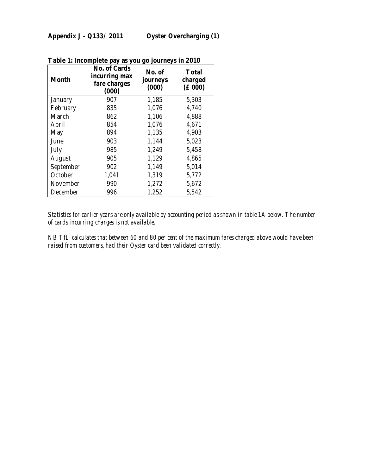| Month           | No. of Cards<br>incurring max<br>fare charges<br>(000) | No. of<br>journeys<br>(000) | <b>Total</b><br>charged<br>$(\text{\pounds}000)$ |
|-----------------|--------------------------------------------------------|-----------------------------|--------------------------------------------------|
| <b>January</b>  | 907                                                    | 1,185                       | 5,303                                            |
| February        | 835                                                    | 1,076                       | 4,740                                            |
| March           | 862                                                    | 1,106                       | 4,888                                            |
| April           | 854                                                    | 1,076                       | 4,671                                            |
| May             | 894                                                    | 1,135                       | 4,903                                            |
| June            | 903                                                    | 1,144                       | 5,023                                            |
| July            | 985                                                    | 1,249                       | 5,458                                            |
| August          | 905                                                    | 1,129                       | 4,865                                            |
| September       | 902                                                    | 1,149                       | 5,014                                            |
| October         | 1,041                                                  | 1,319                       | 5,772                                            |
| <b>November</b> | 990                                                    | 1,272                       | 5,672                                            |
| December        | 996                                                    | 1,252                       | 5,542                                            |

**Table 1: Incomplete pay as you go journeys in 2010** 

*Statistics for earlier years are only available by accounting period as shown in table 1A below. The number of cards incurring charges is not available.* 

*NB TfL calculates that between 60 and 80 per cent of the maximum fares charged above would have been raised from customers, had their Oyster card been validated correctly.*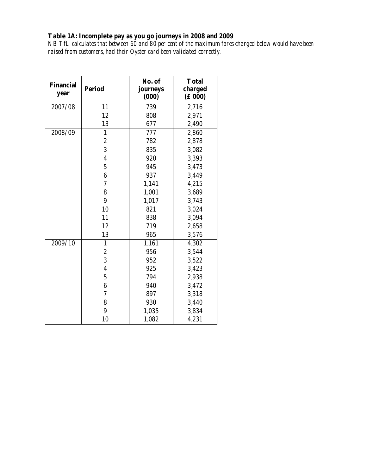**Table 1A: Incomplete pay as you go journeys in 2008 and 2009**  *NB TfL calculates that between 60 and 80 per cent of the maximum fares charged below would have been raised from customers, had their Oyster card been validated correctly.* 

| <b>Financial</b><br>year | <b>Period</b>           | No. of<br>journeys<br>(000) | <b>Total</b><br>charged<br>$(\text{\pounds}000)$ |
|--------------------------|-------------------------|-----------------------------|--------------------------------------------------|
| 2007/08                  | 11                      | 739                         | 2,716                                            |
|                          | 12                      | 808                         | 2,971                                            |
|                          | 13                      | 677                         | 2,490                                            |
| 2008/09                  | $\mathbf{1}$            | 777                         | 2,860                                            |
|                          | $\boldsymbol{2}$        | 782                         | 2,878                                            |
|                          | 3                       | 835                         | 3,082                                            |
|                          | $\overline{\mathbf{4}}$ | 920                         | 3,393                                            |
|                          | $\overline{5}$          | 945                         | 3,473                                            |
|                          | $6\phantom{1}$          | 937                         | 3,449                                            |
|                          | 7                       | 1,141                       | 4,215                                            |
|                          | 8                       | 1,001                       | 3,689                                            |
|                          | $\boldsymbol{9}$        | 1,017                       | 3,743                                            |
|                          | 10                      | 821                         | 3,024                                            |
|                          | 11                      | 838                         | 3,094                                            |
|                          | 12                      | 719                         | 2,658                                            |
|                          | 13                      | 965                         | 3,576                                            |
| 2009/10                  | $\mathbf{1}$            | 1,161                       | 4,302                                            |
|                          | $\boldsymbol{2}$        | 956                         | 3,544                                            |
|                          | 3                       | 952                         | 3,522                                            |
|                          | 4                       | 925                         | 3,423                                            |
|                          | $\overline{5}$          | 794                         | 2,938                                            |
|                          | 6                       | 940                         | 3,472                                            |
|                          | 7                       | 897                         | 3,318                                            |
|                          | 8                       | 930                         | 3,440                                            |
|                          | 9                       | 1,035                       | 3,834                                            |
|                          | 10                      | 1,082                       | 4,231                                            |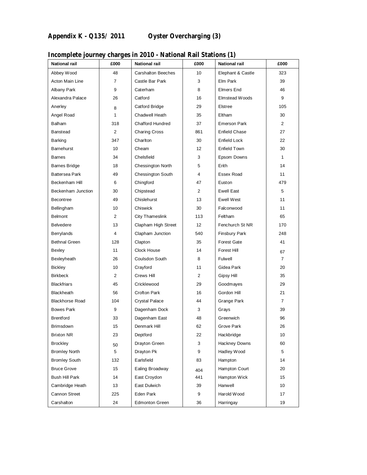| <b>National rail</b>   | £000           | <b>National rail</b>      | £000            | <b>National rail</b> | £000           |
|------------------------|----------------|---------------------------|-----------------|----------------------|----------------|
| Abbey Wood             | 48             | <b>Carshalton Beeches</b> | 10              | Elephant & Castle    | 323            |
| Acton Main Line        | 7              | Castle Bar Park           | 3               | Elm Park             | 39             |
| Albany Park            | 9              | Caterham                  | 8               | Elmers End           | 46             |
| Alexandra Palace       | 26             | Catford                   | 16              | Elmstead Woods       | 9              |
| Anerley                | 8              | Catford Bridge            | 29              | Elstree              | 105            |
| Angel Road             | $\mathbf{1}$   | Chadwell Heath            | 35              | Eltham               | 30             |
| <b>Balham</b>          | 318            | <b>Chafford Hundred</b>   | 37              | <b>Emerson Park</b>  | $\overline{2}$ |
| Banstead               | $\overline{2}$ | <b>Charing Cross</b>      | 861             | <b>Enfield Chase</b> | 27             |
| <b>Barking</b>         | 347            | Charlton                  | 30              | Enfield Lock         | 22             |
| Barnehurst             | 10             | Cheam                     | 12 <sup>°</sup> | Enfield Town         | 30             |
| <b>Barnes</b>          | 34             | Chelsfield                | 3               | Epsom Downs          | $\mathbf{1}$   |
| <b>Barnes Bridge</b>   | 18             | Chessington North         | 5               | Erith                | 14             |
| <b>Battersea Park</b>  | 49             | Chessington South         | 4               | Essex Road           | 11             |
| Beckenham Hill         | 6              | Chingford                 | 47              | Euston               | 479            |
| Beckenham Junction     | 30             | Chipstead                 | $\overline{2}$  | <b>Ewell East</b>    | 5              |
| <b>Becontree</b>       | 49             | Chislehurst               | 13              | Ewell West           | 11             |
| Bellingham             | 10             | Chiswick                  | 30              | Falconwood           | 11             |
| <b>Belmont</b>         | 2              | City Thameslink           | 113             | Feltham              | 65             |
| <b>Belvedere</b>       | 13             | Clapham High Street       | 12 <sup>2</sup> | Fenchurch St NR      | 170            |
| Berrylands             | $\overline{4}$ | Clapham Junction          | 540             | <b>Finsbury Park</b> | 248            |
| <b>Bethnal Green</b>   | 128            | Clapton                   | 35              | <b>Forest Gate</b>   | 41             |
| Bexley                 | 11             | Clock House               | 14              | Forest Hill          | 67             |
| Bexleyheath            | 26             | Coulsdon South            | 8               | Fulwell              | $\overline{7}$ |
| <b>Bickley</b>         | 10             | Crayford                  | 11              | Gidea Park           | 20             |
| <b>Birkbeck</b>        | 2              | Crews Hill                | $\overline{2}$  | Gipsy Hill           | 35             |
| <b>Blackfriars</b>     | 45             | Cricklewood               | 29              | Goodmayes            | 29             |
| Blackheath             | 56             | Crofton Park              | 16              | Gordon Hill          | 21             |
| <b>Blackhorse Road</b> | 104            | <b>Crystal Palace</b>     | 44              | Grange Park          | $\overline{7}$ |
| <b>Bowes Park</b>      | 9              | Dagenham Dock             | 3               | Grays                | 39             |
| <b>Brentford</b>       | 33             | Dagenham East             | 48              | Greenwich            | 96             |
| Brimsdown              | 15             | Denmark Hill              | 62              | Grove Park           | 26             |
| <b>Brixton NR</b>      | 23             | Deptford                  | 22              | Hackbridge           | 10             |
| <b>Brockley</b>        | 50             | Drayton Green             | 3               | Hackney Downs        | 60             |
| <b>Bromley North</b>   | 5              | Drayton Pk                | 9               | Hadley Wood          | 5              |
| <b>Bromley South</b>   | 132            | Earlsfield                | 83              | Hampton              | 14             |
| <b>Bruce Grove</b>     | 15             | Ealing Broadway           | 404             | Hampton Court        | 20             |
| Bush Hill Park         | 14             | East Croydon              | 441             | Hampton Wick         | 15             |
| Cambridge Heath        | 13             | East Dulwich              | 39              | Hanwell              | 10             |
| Cannon Street          | 225            | Eden Park                 | 9               | Harold Wood          | 17             |
| Carshalton             | 24             | <b>Edmonton Green</b>     | 36              | Harringay            | 19             |

## **Incomplete journey charges in 2010 - National Rail Stations (1)**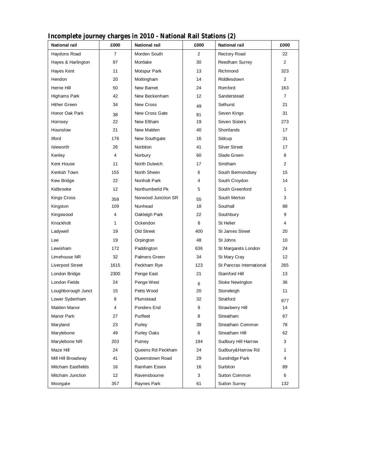| Incomplete journey charges in 2010 - National Rail Stations (2) |                |                      |                   |                          |                |
|-----------------------------------------------------------------|----------------|----------------------|-------------------|--------------------------|----------------|
| <b>National rail</b>                                            | £000           | <b>National rail</b> | £000              | <b>National rail</b>     | £000           |
| Haydons Road                                                    | $\overline{7}$ | Morden South         | 2                 | <b>Rectory Road</b>      | 22             |
| Hayes & Harlington                                              | 97             | Mortlake             | 30                | Reedham Surrey           | $\overline{2}$ |
| Hayes Kent                                                      | 11             | Motspur Park         | 13                | Richmond                 | 323            |
| Hendon                                                          | 20             | Mottingham           | 14                | Riddlesdown              | $\overline{2}$ |
| Herne Hill                                                      | 50             | New Barnet           | 24                | Romford                  | 163            |
| Highams Park                                                    | 42             | New Beckenham        | $12 \overline{ }$ | Sanderstead              | $\overline{7}$ |
| <b>Hither Green</b>                                             | 34             | <b>New Cross</b>     | 49                | Selhurst                 | 21             |
| Honor Oak Park                                                  | 38             | New Cross Gate       | 81                | Seven Kings              | 31             |
| Hornsey                                                         | 22             | New Eltham           | 19                | Seven Sisters            | 273            |
| Hounslow                                                        | 21             | New Malden           | 40                | Shortlands               | 17             |
| <b>Ilford</b>                                                   | 176            | New Southgate        | 16                | Sidcup                   | 31             |
| <b>Isleworth</b>                                                | 26             | Norbiton             | 41                | <b>Silver Street</b>     | 17             |
| Kenley                                                          | 4              | Norbury              | 60                | Slade Green              | 8              |
| Kent House                                                      | 11             | North Dulwich        | 17                | Smitham                  | $\overline{2}$ |
| Kentish Town                                                    | 155            | North Sheen          | 6                 | South Bermondsey         | 15             |
| Kew Bridge                                                      | 22             | Northolt Park        | 4                 | South Croydon            | 14             |
| Kidbrooke                                                       | 12             | NorthumberId Pk      | 5                 | South Greenford          | 1              |
| Kings Cross                                                     | 358            | Norwood Junction SR  | 55                | South Merton             | 3              |
| Kingston                                                        | 109            | Nunhead              | 18                | Southall                 | 88             |
| Kingswood                                                       | 4              | Oakleigh Park        | 22                | Southbury                | 9              |
| Knockholt                                                       | 1              | Ockendon             | 8                 | <b>St Helier</b>         | 4              |
| Ladywell                                                        | 19             | Old Street           | 400               | <b>St James Street</b>   | 20             |
| Lee                                                             | 19             | Orpington            | 48                | St Johns                 | 10             |
| Lewisham                                                        | 172            | Paddington           | 636               | St Margarets London      | 24             |
| Limehouse NR                                                    | 32             | <b>Palmers Green</b> | 34                | <b>St Mary Cray</b>      | 12             |
| Liverpool Street                                                | 1615           | Peckham Rye          | 123               | St Pancras International | 265            |
| London Bridge                                                   | 2300           | Penge East           | 21                | Stamford Hill            | 13             |
| <b>London Fields</b>                                            | 24             | Penge West           | 6                 | Stoke Newington          | 36             |
| Loughborough Junct                                              | 15             | Petts Wood           | 20                | Stoneleigh               | 11             |
| Lower Sydenham                                                  | 8              | Plumstead            | 32                | Stratford                | 877            |
| Malden Manor                                                    | 4              | Ponders End          | 9                 | Strawberry Hill          | 14             |
| Manor Park                                                      | 27             | Purfleet             | 8                 | Streatham                | 67             |
| Maryland                                                        | 23             | Purley               | 39                | Streatham Common         | 78             |
| Marylebone                                                      | 49             | <b>Purley Oaks</b>   | 6                 | Streatham Hill           | 62             |
| Marylebone NR                                                   | 203            | Putney               | 194               | Sudbury Hill Harrow      | 3              |
| Maze Hill                                                       | 24             | Queens Rd Peckham    | 24                | Sudbury&Harrow Rd        | 1              |
| Mill Hill Broadway                                              | 41             | Queenstown Road      | 29                | Sundridge Park           | 4              |
| Mitcham Eastfields                                              | 16             | Rainham Essex        | 16                | Surbiton                 | 89             |
| Mitcham Junction                                                | 12             | Ravensbourne         | 3                 | Sutton Common            | 6              |
| Moorgate                                                        | 357            | Raynes Park          | 61                | <b>Sutton Surrey</b>     | 132            |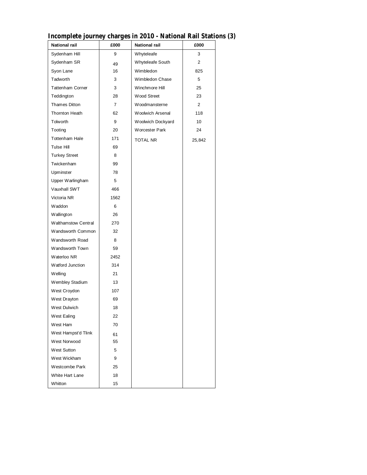| <b>National rail</b>    | £000           | <b>National rail</b>  | £000           |
|-------------------------|----------------|-----------------------|----------------|
| Sydenham Hill           | 9              | Whyteleafe            | 3              |
| Sydenham SR             | 49             | Whyteleafe South      | $\overline{2}$ |
| Syon Lane               | 16             | Wimbledon             | 825            |
| Tadworth                | 3              | Wimbledon Chase       | 5              |
| <b>Tattenham Corner</b> | 3              | Winchmore Hill        | 25             |
| Teddington              | 28             | Wood Street           | 23             |
| <b>Thames Ditton</b>    | $\overline{7}$ | Woodmansterne         | $\overline{2}$ |
| Thornton Heath          | 62             | Woolwich Arsenal      | 118            |
| Tolworth                | 9              | Woolwich Dockyard     | 10             |
| Tooting                 | 20             | <b>Worcester Park</b> | 24             |
| <b>Tottenham Hale</b>   | 171            | <b>TOTAL NR</b>       | 25,842         |
| Tulse Hill              | 69             |                       |                |
| <b>Turkey Street</b>    | 8              |                       |                |
| Twickenham              | 99             |                       |                |
| Upminster               | 78             |                       |                |
| Upper Warlingham        | 5              |                       |                |
| Vauxhall SWT            | 466            |                       |                |
| Victoria NR             | 1562           |                       |                |
| Waddon                  | 6              |                       |                |
| Wallington              | 26             |                       |                |
| Walthamstow Central     | 270            |                       |                |
| Wandsworth Common       | 32             |                       |                |
| Wandsworth Road         | 8              |                       |                |
| Wandsworth Town         | 59             |                       |                |
| Waterloo NR             | 2452           |                       |                |
| Watford Junction        | 314            |                       |                |
| Welling                 | 21             |                       |                |
| Wembley Stadium         | 13             |                       |                |
| West Croydon            | 107            |                       |                |
| West Drayton            | 69             |                       |                |
| West Dulwich            | 18             |                       |                |
| West Ealing             | 22             |                       |                |
| West Ham                | 70             |                       |                |
| West Hampst'd Tlink     | 61             |                       |                |
| West Norwood            | 55             |                       |                |
| West Sutton             | 5              |                       |                |
| West Wickham            | 9              |                       |                |
| Westcombe Park          | 25             |                       |                |
| White Hart Lane         | 18             |                       |                |
| Whitton                 | 15             |                       |                |

## **Incomplete journey charges in 2010 - National Rail Stations (3)**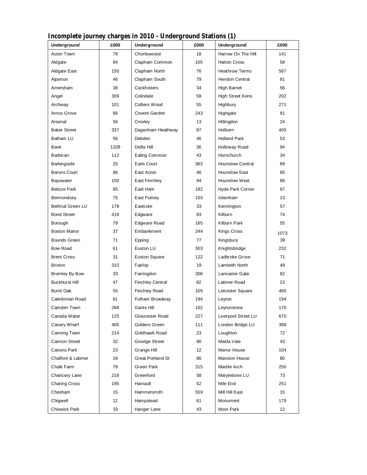| mcomplete Journey charges in 2010 - Underground Stations (1)<br>Underground | £000 | Underground              | £000 | Underground             | £000            |
|-----------------------------------------------------------------------------|------|--------------------------|------|-------------------------|-----------------|
| Acton Town                                                                  | 79   |                          | 18   | Harrow On The Hill      | 141             |
|                                                                             |      | Chorleywood              |      |                         |                 |
| Aldgate                                                                     | 84   | Clapham Common           | 105  | <b>Hatton Cross</b>     | 58              |
| <b>Aldgate East</b>                                                         | 150  | Clapham North            | 76   | <b>Heathrow Terms</b>   | 567             |
| Alperton                                                                    | 46   | Clapham South            | 79   | Hendon Central          | 81              |
| Amersham                                                                    | 38   | Cockfosters              | 34   | High Barnet             | 56              |
| Angel                                                                       | 309  | Colindale                | 59   | <b>High Street Kens</b> | 202             |
| Archway                                                                     | 101  | Colliers Wood            | 55   | Highbury                | 271             |
| Arnos Grove                                                                 | 66   | Covent Garden            | 243  | Highgate                | 81              |
| Arsenal                                                                     | 56   | Croxley                  | 13   | Hillingdon              | 24              |
| <b>Baker Street</b>                                                         | 337  | Dagenham Heathway        | 87   | Holborn                 | 405             |
| Balham LU                                                                   | 56   | Debden                   | 46   | <b>Holland Park</b>     | 53              |
| Bank                                                                        | 1339 | Dollis Hill              | 36   | Holloway Road           | 94              |
| Barbican                                                                    | 112  | Ealing Common            | 43   | Hornchurch              | 34              |
| <b>Barkingside</b>                                                          | 25   | Earls Court              | 363  | <b>Hounslow Central</b> | 89              |
| <b>Barons Court</b>                                                         | 86   | East Acton               | 46   | <b>Hounslow East</b>    | 85              |
| Bayswater                                                                   | 100  | East Finchley            | 94   | Hounslow West           | 86              |
| <b>Belsize Park</b>                                                         | 85   | East Ham                 | 182  | Hyde Park Corner        | 87              |
| Bermondsey                                                                  | 75   | East Putney              | 103  | Ickenham                | 13              |
| <b>Bethnal Green LU</b>                                                     | 178  | Eastcote                 | 33   | Kennington              | 57              |
| <b>Bond Street</b>                                                          | 418  | Edgware                  | 83   | Kilburn                 | 74              |
| Borough                                                                     | 79   | <b>Edgware Road</b>      | 165  | Kilburn Park            | 55              |
| <b>Boston Manor</b>                                                         | 37   | Embankment               | 244  | <b>Kings Cross</b>      | 1073            |
| <b>Bounds Green</b>                                                         | 71   | Epping                   | 77   | Kingsbury               | 39              |
| <b>Bow Road</b>                                                             | 61   | Euston LU                | 303  | Knightsbridge           | 232             |
| <b>Brent Cross</b>                                                          | 31   | <b>Euston Square</b>     | 122  | Ladbroke Grove          | 71              |
| Brixton                                                                     | 310  | Fairlop                  | 19   | Lambeth North           | 49              |
| <b>Bromley By Bow</b>                                                       | 33   | Farringdon               | 306  | Lancaster Gate          | 82              |
| <b>Buckhurst Hill</b>                                                       | 47   | <b>Finchley Central</b>  | 82   | Latimer Road            | 23              |
| <b>Burnt Oak</b>                                                            | 55   | <b>Finchley Road</b>     | 105  | Leicester Square        | 465             |
| Caledonian Road                                                             | 61   | Fulham Broadway          | 194  | Leyton                  | 194             |
| Camden Town                                                                 | 288  | Gants Hill               | 102  | Leytonstone             | 170             |
| Canada Water                                                                | 125  | Gloucester Road          | 227  | Liverpool Street LU     | 670             |
| Canary Wharf                                                                | 405  | Golders Green            | 111  | London Bridge LU        | 388             |
| Canning Town                                                                | 214  | Goldhawk Road            | 23   | Loughton                | 72              |
| Cannon Street                                                               | 32   | Goodge Street            | 80   | Maida Vale              | 43              |
| Canons Park                                                                 | 23   | Grange Hill              | 12   | Manor House             | 104             |
| Chalfont & Latimer                                                          | 19   | <b>Great Portland St</b> | 86   | <b>Mansion House</b>    | 80              |
| Chalk Farm                                                                  | 79   | Green Park               | 315  | Marble Arch             | 250             |
| Chancery Lane                                                               | 218  | Greenford                | 58   | Marylebone LU           | 73              |
| <b>Charing Cross</b>                                                        | 195  | Hainault                 | 52   | Mile End                | 251             |
| Chesham                                                                     | 15   | Hammersmith              | 559  | Mill Hill East          | 15              |
| Chigwell                                                                    | 12   | Hampstead                | 61   | Monument                | 179             |
| Chiswick Park                                                               | 33   | Hanger Lane              | 43   | Moor Park               | 12 <sub>2</sub> |

## **Incomplete journey charges in 2010 - Underground Stations (1)**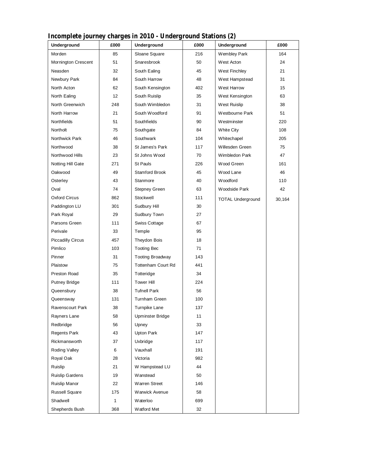| Underground              | £000         | $\frac{1}{2}$<br>Underground | round beacross $(\bullet)$<br>£000 | Underground              | £000   |
|--------------------------|--------------|------------------------------|------------------------------------|--------------------------|--------|
| Morden                   | 85           | Sloane Square                | 216                                | Wembley Park             | 164    |
| Mornington Crescent      | 51           | Snaresbrook                  | 50                                 | West Acton               | 24     |
| Neasden                  | 32           | South Ealing                 | 45                                 | West Finchley            | 21     |
| Newbury Park             | 84           | South Harrow                 | 48                                 | West Hampstead           | 31     |
| North Acton              | 62           | South Kensington             | 402                                | <b>West Harrow</b>       | 15     |
| North Ealing             | 12           | South Ruislip                | 35                                 | West Kensington          | 63     |
| North Greenwich          | 248          | South Wimbledon              | 31                                 | West Ruislip             | 38     |
| North Harrow             | 21           | South Woodford               | 91                                 | Westbourne Park          | 51     |
| Northfields              | 51           | Southfields                  | 90                                 | Westminster              | 220    |
| Northolt                 | 75           | Southgate                    | 84                                 | White City               | 108    |
| Northwick Park           | 46           | Southwark                    | 104                                | Whitechapel              | 205    |
| Northwood                | 38           | St James's Park              | 117                                | Willesden Green          | 75     |
| Northwood Hills          | 23           | St Johns Wood                | 70                                 | Wimbledon Park           | 47     |
| Notting Hill Gate        | 271          | St Pauls                     | 226                                | Wood Green               | 161    |
| Oakwood                  | 49           | Stamford Brook               | 45                                 | Wood Lane                | 46     |
| Osterley                 | 43           | Stanmore                     | 40                                 | <b>Woodford</b>          | 110    |
| Oval                     | 74           | Stepney Green                | 63                                 | Woodside Park            | 42     |
| Oxford Circus            | 862          | Stockwell                    | 111                                | <b>TOTAL Underground</b> | 30,164 |
| Paddington LU            | 301          | Sudbury Hill                 | 30                                 |                          |        |
| Park Royal               | 29           | Sudbury Town                 | 27                                 |                          |        |
| Parsons Green            | 111          | Swiss Cottage                | 67                                 |                          |        |
| Perivale                 | 33           | Temple                       | 95                                 |                          |        |
| <b>Piccadilly Circus</b> | 457          | Theydon Bois                 | 18                                 |                          |        |
| Pimlico                  | 103          | <b>Tooting Bec</b>           | 71                                 |                          |        |
| Pinner                   | 31           | <b>Tooting Broadway</b>      | 143                                |                          |        |
| Plaistow                 | 75           | Tottenham Court Rd           | 441                                |                          |        |
| Preston Road             | 35           | Totteridge                   | 34                                 |                          |        |
| <b>Putney Bridge</b>     | 111          | <b>Tower Hill</b>            | 224                                |                          |        |
| Queensbury               | 38           | <b>Tufnell Park</b>          | 56                                 |                          |        |
| Queensway                | 131          | Turnham Green                | 100                                |                          |        |
| Ravenscourt Park         | 38           | Turnpike Lane                | 137                                |                          |        |
| Rayners Lane             | 58           | Upminster Bridge             | 11                                 |                          |        |
| Redbridge                | 56           | Upney                        | 33                                 |                          |        |
| <b>Regents Park</b>      | 43           | Upton Park                   | 147                                |                          |        |
| Rickmansworth            | 37           | Uxbridge                     | 117                                |                          |        |
| Roding Valley            | 6            | Vauxhall                     | 191                                |                          |        |
| Royal Oak                | 28           | Victoria                     | 982                                |                          |        |
| Ruislip                  | 21           | W Hampstead LU               | 44                                 |                          |        |
| Ruislip Gardens          | 19           | <b>Wanstead</b>              | 50                                 |                          |        |
| Ruislip Manor            | 22           | Warren Street                | 146                                |                          |        |
| Russell Square           | 175          | Warwick Avenue               | 58                                 |                          |        |
| Shadwell                 | $\mathbf{1}$ | Waterloo                     | 699                                |                          |        |
| Shepherds Bush           | 368          | Watford Met                  | 32                                 |                          |        |

## **Incomplete journey charges in 2010 - Underground Stations (2)**